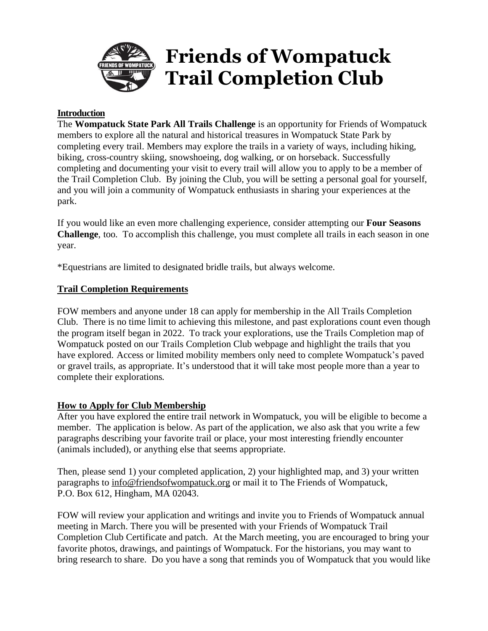

## **Introduction**

The **Wompatuck State Park All Trails Challenge** is an opportunity for Friends of Wompatuck members to explore all the natural and historical treasures in Wompatuck State Park by completing every trail. Members may explore the trails in a variety of ways, including hiking, biking, cross-country skiing, snowshoeing, dog walking, or on horseback. Successfully completing and documenting your visit to every trail will allow you to apply to be a member of the Trail Completion Club. By joining the Club, you will be setting a personal goal for yourself, and you will join a community of Wompatuck enthusiasts in sharing your experiences at the park.

If you would like an even more challenging experience, consider attempting our **Four Seasons Challenge**, too. To accomplish this challenge, you must complete all trails in each season in one year.

\*Equestrians are limited to designated bridle trails, but always welcome.

## **Trail Completion Requirements**

FOW members and anyone under 18 can apply for membership in the All Trails Completion Club. There is no time limit to achieving this milestone, and past explorations count even though the program itself began in 2022. To track your explorations, use the Trails Completion map of Wompatuck posted on our Trails Completion Club webpage and highlight the trails that you have explored. Access or limited mobility members only need to complete Wompatuck's paved or gravel trails, as appropriate. It's understood that it will take most people more than a year to complete their explorations.

## **How to Apply for Club Membership**

After you have explored the entire trail network in Wompatuck, you will be eligible to become a member. The application is below. As part of the application, we also ask that you write a few paragraphs describing your favorite trail or place, your most interesting friendly encounter (animals included), or anything else that seems appropriate.

Then, please send 1) your completed application, 2) your highlighted map, and 3) your written paragraphs to [info@friendsofwompatuck.org](mailto:info@friendsofwompatuck.org) or mail it to The Friends of Wompatuck, P.O. Box 612, Hingham, MA 02043.

FOW will review your application and writings and invite you to Friends of Wompatuck annual meeting in March. There you will be presented with your Friends of Wompatuck Trail Completion Club Certificate and patch. At the March meeting, you are encouraged to bring your favorite photos, drawings, and paintings of Wompatuck. For the historians, you may want to bring research to share. Do you have a song that reminds you of Wompatuck that you would like